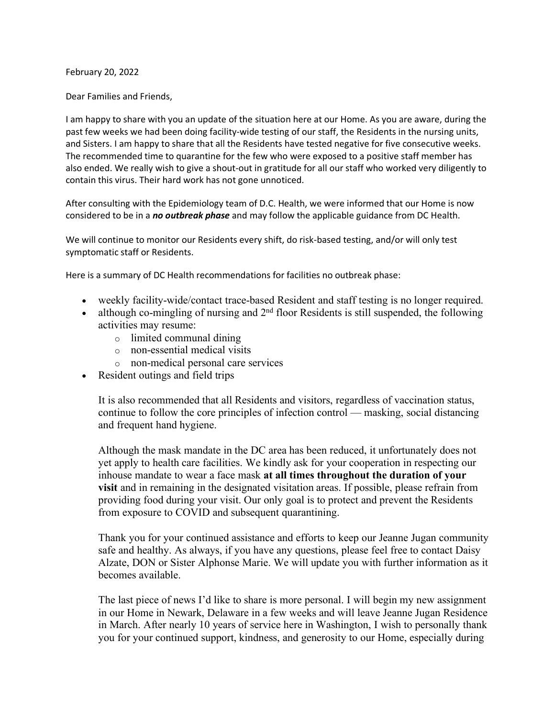February 20, 2022

Dear Families and Friends,

I am happy to share with you an update of the situation here at our Home. As you are aware, during the past few weeks we had been doing facility-wide testing of our staff, the Residents in the nursing units, and Sisters. I am happy to share that all the Residents have tested negative for five consecutive weeks. The recommended time to quarantine for the few who were exposed to a positive staff member has also ended. We really wish to give a shout-out in gratitude for all our staff who worked very diligently to contain this virus. Their hard work has not gone unnoticed.

After consulting with the Epidemiology team of D.C. Health, we were informed that our Home is now considered to be in a *no outbreak phase* and may follow the applicable guidance from DC Health.

We will continue to monitor our Residents every shift, do risk-based testing, and/or will only test symptomatic staff or Residents.

Here is a summary of DC Health recommendations for facilities no outbreak phase:

- weekly facility-wide/contact trace-based Resident and staff testing is no longer required.
- although co-mingling of nursing and  $2<sup>nd</sup>$  floor Residents is still suspended, the following activities may resume:
	- o limited communal dining
	- o non-essential medical visits
	- o non-medical personal care services
- Resident outings and field trips

It is also recommended that all Residents and visitors, regardless of vaccination status, continue to follow the core principles of infection control — masking, social distancing and frequent hand hygiene.

Although the mask mandate in the DC area has been reduced, it unfortunately does not yet apply to health care facilities. We kindly ask for your cooperation in respecting our inhouse mandate to wear a face mask **at all times throughout the duration of your visit** and in remaining in the designated visitation areas. If possible, please refrain from providing food during your visit. Our only goal is to protect and prevent the Residents from exposure to COVID and subsequent quarantining.

Thank you for your continued assistance and efforts to keep our Jeanne Jugan community safe and healthy. As always, if you have any questions, please feel free to contact Daisy Alzate, DON or Sister Alphonse Marie. We will update you with further information as it becomes available.

The last piece of news I'd like to share is more personal. I will begin my new assignment in our Home in Newark, Delaware in a few weeks and will leave Jeanne Jugan Residence in March. After nearly 10 years of service here in Washington, I wish to personally thank you for your continued support, kindness, and generosity to our Home, especially during